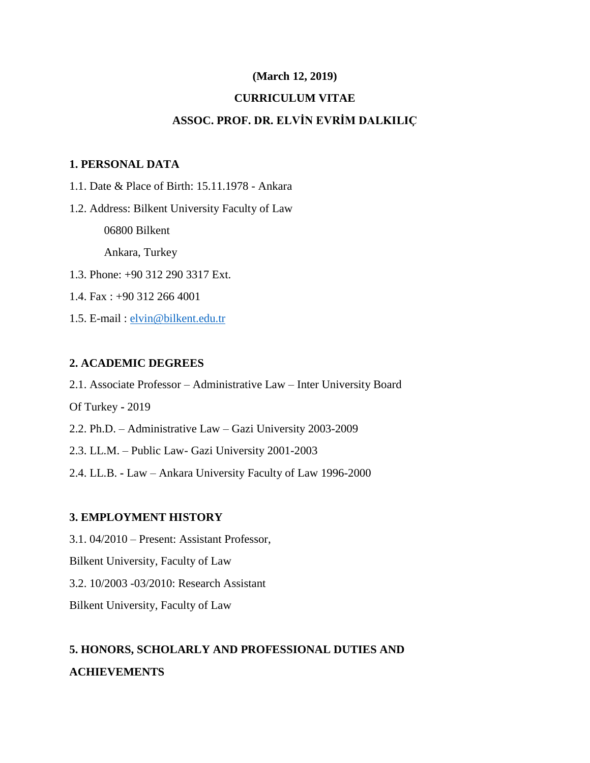### **(March 12, 2019)**

### **CURRICULUM VITAE**

## **ASSOC. PROF. DR. ELVİN EVRİM DALKILIÇ**

## **1. PERSONAL DATA**

- 1.1. Date & Place of Birth: 15.11.1978 Ankara
- 1.2. Address: Bilkent University Faculty of Law

06800 Bilkent

Ankara, Turkey

- 1.3. Phone: +90 312 290 3317 Ext.
- 1.4. Fax : +90 312 266 4001
- 1.5. E-mail : [elvin@bilkent.edu.tr](mailto:elvin@bilkent.edu.tr)

### **2. ACADEMIC DEGREES**

2.1. Associate Professor – Administrative Law – Inter University Board

Of Turkey **-** 2019

- 2.2. Ph.D. Administrative Law Gazi University 2003-2009
- 2.3. LL.M. Public Law- Gazi University 2001-2003
- 2.4. LL.B. **-** Law Ankara University Faculty of Law 1996-2000

#### **3. EMPLOYMENT HISTORY**

3.1. 04/2010 – Present: Assistant Professor,

Bilkent University, Faculty of Law

3.2. 10/2003 -03/2010: Research Assistant

Bilkent University, Faculty of Law

# **5. HONORS, SCHOLARLY AND PROFESSIONAL DUTIES AND ACHIEVEMENTS**